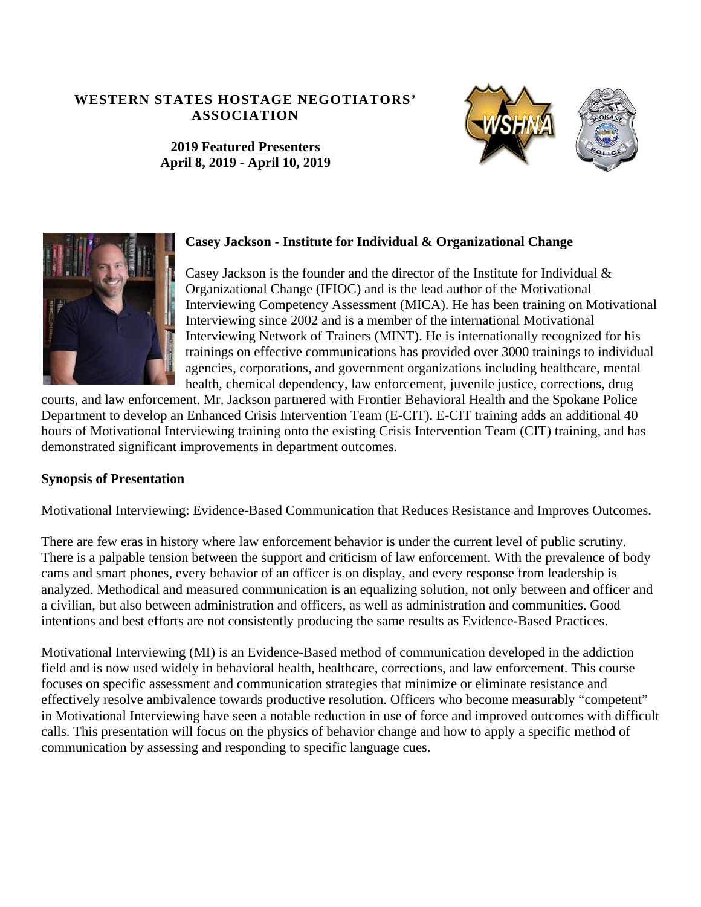#### **WESTERN STATES HOSTAGE NEGOTIATORS' ASSOCIATION**





**2019 Featured Presenters April 8, 2019 - April 10, 2019** 



### **Casey Jackson - Institute for Individual & Organizational Change**

Casey Jackson is the founder and the director of the Institute for Individual & Organizational Change (IFIOC) and is the lead author of the Motivational Interviewing Competency Assessment (MICA). He has been training on Motivational Interviewing since 2002 and is a member of the international Motivational Interviewing Network of Trainers (MINT). He is internationally recognized for his trainings on effective communications has provided over 3000 trainings to individual agencies, corporations, and government organizations including healthcare, mental health, chemical dependency, law enforcement, juvenile justice, corrections, drug

courts, and law enforcement. Mr. Jackson partnered with Frontier Behavioral Health and the Spokane Police Department to develop an Enhanced Crisis Intervention Team (E-CIT). E-CIT training adds an additional 40 hours of Motivational Interviewing training onto the existing Crisis Intervention Team (CIT) training, and has demonstrated significant improvements in department outcomes.

### **Synopsis of Presentation**

Motivational Interviewing: Evidence-Based Communication that Reduces Resistance and Improves Outcomes.

There are few eras in history where law enforcement behavior is under the current level of public scrutiny. There is a palpable tension between the support and criticism of law enforcement. With the prevalence of body cams and smart phones, every behavior of an officer is on display, and every response from leadership is analyzed. Methodical and measured communication is an equalizing solution, not only between and officer and a civilian, but also between administration and officers, as well as administration and communities. Good intentions and best efforts are not consistently producing the same results as Evidence-Based Practices.

Motivational Interviewing (MI) is an Evidence-Based method of communication developed in the addiction field and is now used widely in behavioral health, healthcare, corrections, and law enforcement. This course focuses on specific assessment and communication strategies that minimize or eliminate resistance and effectively resolve ambivalence towards productive resolution. Officers who become measurably "competent" in Motivational Interviewing have seen a notable reduction in use of force and improved outcomes with difficult calls. This presentation will focus on the physics of behavior change and how to apply a specific method of communication by assessing and responding to specific language cues.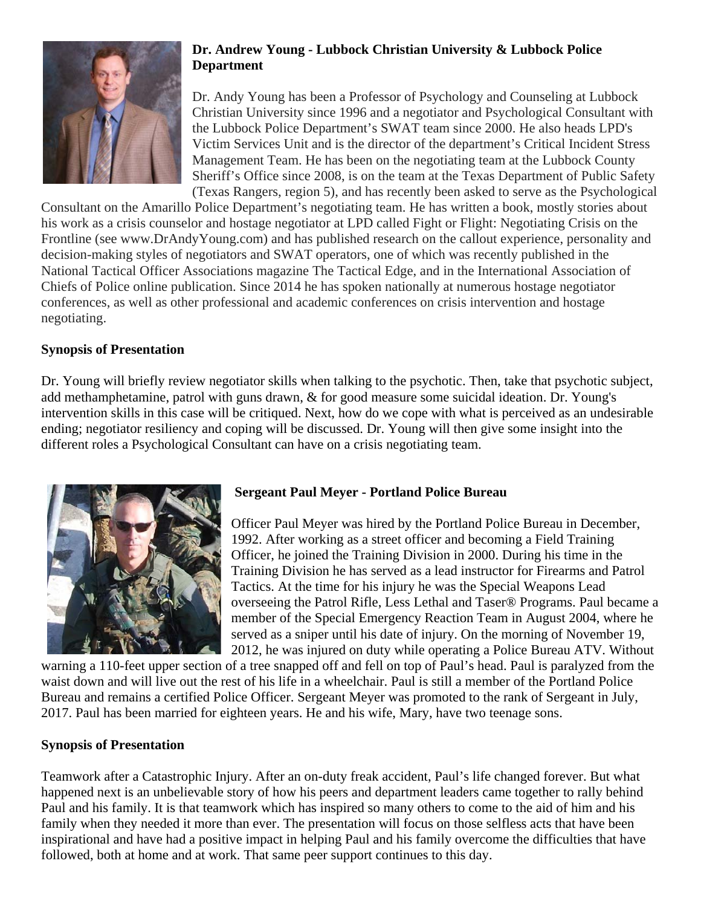

## **Dr. Andrew Young - Lubbock Christian University & Lubbock Police Department**

Dr. Andy Young has been a Professor of Psychology and Counseling at Lubbock Christian University since 1996 and a negotiator and Psychological Consultant with the Lubbock Police Department's SWAT team since 2000. He also heads LPD's Victim Services Unit and is the director of the department's Critical Incident Stress Management Team. He has been on the negotiating team at the Lubbock County Sheriff's Office since 2008, is on the team at the Texas Department of Public Safety (Texas Rangers, region 5), and has recently been asked to serve as the Psychological

Consultant on the Amarillo Police Department's negotiating team. He has written a book, mostly stories about his work as a crisis counselor and hostage negotiator at LPD called Fight or Flight: Negotiating Crisis on the Frontline (see www.DrAndyYoung.com) and has published research on the callout experience, personality and decision-making styles of negotiators and SWAT operators, one of which was recently published in the National Tactical Officer Associations magazine The Tactical Edge, and in the International Association of Chiefs of Police online publication. Since 2014 he has spoken nationally at numerous hostage negotiator conferences, as well as other professional and academic conferences on crisis intervention and hostage negotiating.

### **Synopsis of Presentation**

Dr. Young will briefly review negotiator skills when talking to the psychotic. Then, take that psychotic subject, add methamphetamine, patrol with guns drawn, & for good measure some suicidal ideation. Dr. Young's intervention skills in this case will be critiqued. Next, how do we cope with what is perceived as an undesirable ending; negotiator resiliency and coping will be discussed. Dr. Young will then give some insight into the different roles a Psychological Consultant can have on a crisis negotiating team.



# **Sergeant Paul Meyer - Portland Police Bureau**

Officer Paul Meyer was hired by the Portland Police Bureau in December, 1992. After working as a street officer and becoming a Field Training Officer, he joined the Training Division in 2000. During his time in the Training Division he has served as a lead instructor for Firearms and Patrol Tactics. At the time for his injury he was the Special Weapons Lead overseeing the Patrol Rifle, Less Lethal and Taser® Programs. Paul became a member of the Special Emergency Reaction Team in August 2004, where he served as a sniper until his date of injury. On the morning of November 19, 2012, he was injured on duty while operating a Police Bureau ATV. Without

warning a 110-feet upper section of a tree snapped off and fell on top of Paul's head. Paul is paralyzed from the waist down and will live out the rest of his life in a wheelchair. Paul is still a member of the Portland Police Bureau and remains a certified Police Officer. Sergeant Meyer was promoted to the rank of Sergeant in July, 2017. Paul has been married for eighteen years. He and his wife, Mary, have two teenage sons.

### **Synopsis of Presentation**

Teamwork after a Catastrophic Injury. After an on-duty freak accident, Paul's life changed forever. But what happened next is an unbelievable story of how his peers and department leaders came together to rally behind Paul and his family. It is that teamwork which has inspired so many others to come to the aid of him and his family when they needed it more than ever. The presentation will focus on those selfless acts that have been inspirational and have had a positive impact in helping Paul and his family overcome the difficulties that have followed, both at home and at work. That same peer support continues to this day.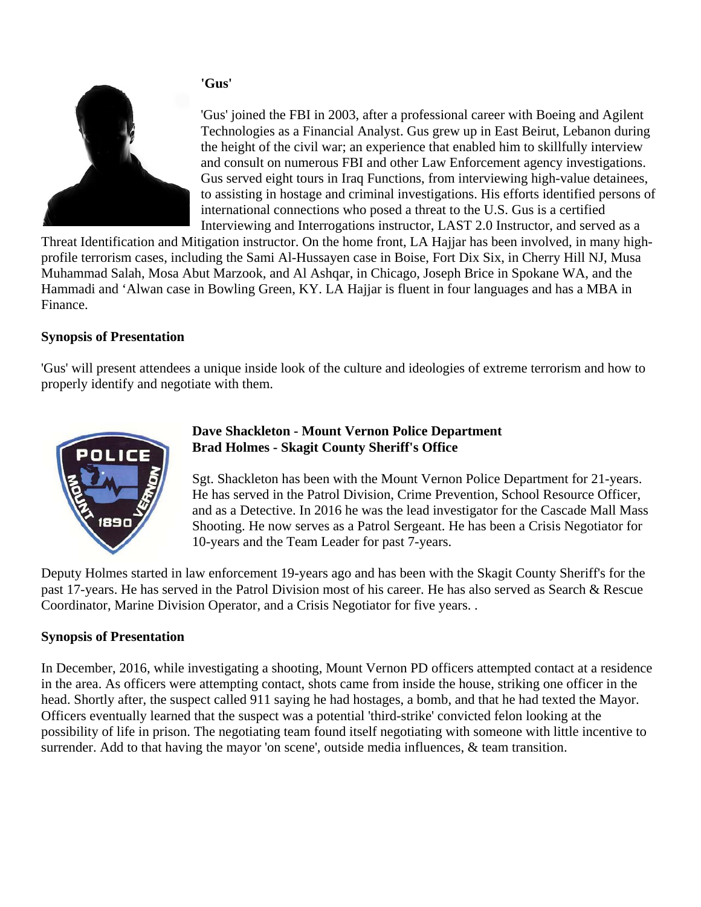## **'Gus'**



'Gus' joined the FBI in 2003, after a professional career with Boeing and Agilent Technologies as a Financial Analyst. Gus grew up in East Beirut, Lebanon during the height of the civil war; an experience that enabled him to skillfully interview and consult on numerous FBI and other Law Enforcement agency investigations. Gus served eight tours in Iraq Functions, from interviewing high-value detainees, to assisting in hostage and criminal investigations. His efforts identified persons of international connections who posed a threat to the U.S. Gus is a certified Interviewing and Interrogations instructor, LAST 2.0 Instructor, and served as a

Threat Identification and Mitigation instructor. On the home front, LA Hajjar has been involved, in many highprofile terrorism cases, including the Sami Al-Hussayen case in Boise, Fort Dix Six, in Cherry Hill NJ, Musa Muhammad Salah, Mosa Abut Marzook, and Al Ashqar, in Chicago, Joseph Brice in Spokane WA, and the Hammadi and 'Alwan case in Bowling Green, KY. LA Hajjar is fluent in four languages and has a MBA in Finance.

### **Synopsis of Presentation**

'Gus' will present attendees a unique inside look of the culture and ideologies of extreme terrorism and how to properly identify and negotiate with them.



### **Dave Shackleton - Mount Vernon Police Department Brad Holmes - Skagit County Sheriff's Office**

Sgt. Shackleton has been with the Mount Vernon Police Department for 21-years. He has served in the Patrol Division, Crime Prevention, School Resource Officer, and as a Detective. In 2016 he was the lead investigator for the Cascade Mall Mass Shooting. He now serves as a Patrol Sergeant. He has been a Crisis Negotiator for 10-years and the Team Leader for past 7-years.

Deputy Holmes started in law enforcement 19-years ago and has been with the Skagit County Sheriff's for the past 17-years. He has served in the Patrol Division most of his career. He has also served as Search & Rescue Coordinator, Marine Division Operator, and a Crisis Negotiator for five years. .

### **Synopsis of Presentation**

In December, 2016, while investigating a shooting, Mount Vernon PD officers attempted contact at a residence in the area. As officers were attempting contact, shots came from inside the house, striking one officer in the head. Shortly after, the suspect called 911 saying he had hostages, a bomb, and that he had texted the Mayor. Officers eventually learned that the suspect was a potential 'third-strike' convicted felon looking at the possibility of life in prison. The negotiating team found itself negotiating with someone with little incentive to surrender. Add to that having the mayor 'on scene', outside media influences, & team transition.